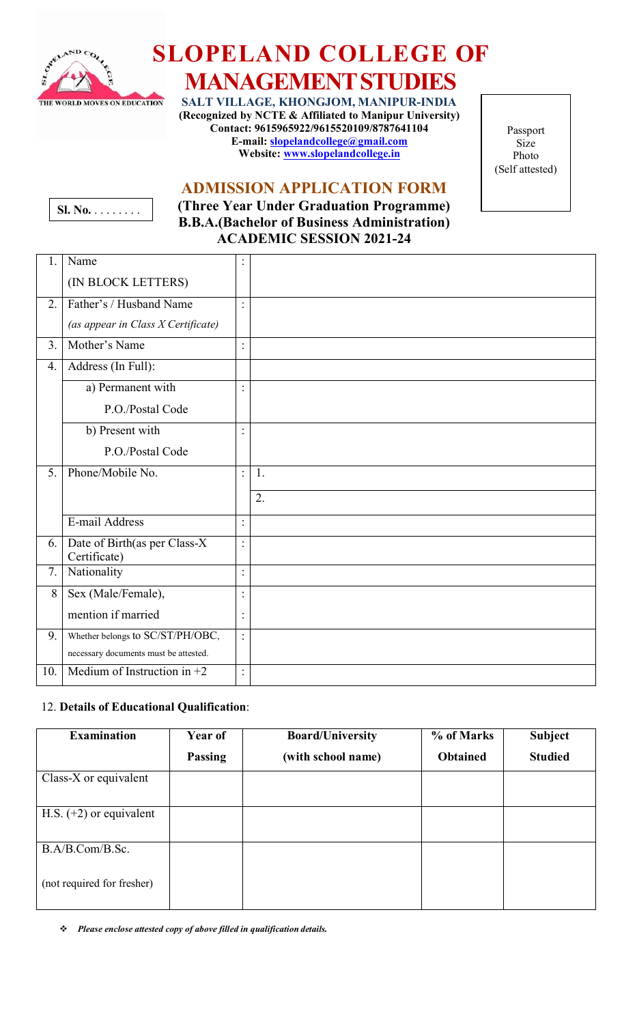

# **SLOPELAND COLLEGE OF**

# **MANAGEMENTSTUDIES**

**SALT VILLAGE, KHONGJOM, MANIPUR-INDIA (Recognized by NCTE & Affiliated to Manipur University) Contact: 9615965922/9615520109/8787641104 E-mail: [slopelandcollege@gmail.com](mailto:slopelandcollege@gmail.com) Website: [www.slopelandcollege.in](http://www.slopelandcollege.in/)**

Passport Size Photo (Self attested)

# **ADMISSION APPLICATION FORM**



**(Three Year Under Graduation Programme) B.B.A.(Bachelor of Business Administration) ACADEMIC SESSION 2021-24**

| 1.  | Name                                         |                |    |
|-----|----------------------------------------------|----------------|----|
|     | (IN BLOCK LETTERS)                           |                |    |
| 2.  | Father's / Husband Name                      |                |    |
|     | (as appear in Class X Certificate)           |                |    |
| 3.  | Mother's Name                                | $\bullet$      |    |
| 4.  | Address (In Full):                           |                |    |
|     | a) Permanent with                            | $\bullet$      |    |
|     | P.O./Postal Code                             |                |    |
|     | b) Present with                              |                |    |
|     | P.O./Postal Code                             |                |    |
| 5.  | Phone/Mobile No.                             | $\ddot{\cdot}$ | 1. |
|     |                                              |                | 2. |
|     | E-mail Address                               | $\ddot{\cdot}$ |    |
| 6.  | Date of Birth(as per Class-X<br>Certificate) | $\ddot{\cdot}$ |    |
| 7.  | Nationality                                  | $\bullet$      |    |
| 8   | Sex (Male/Female),                           | $\bullet$      |    |
|     | mention if married                           | $\ddot{\cdot}$ |    |
| 9.  | Whether belongs to SC/ST/PH/OBC,             | $\ddot{\cdot}$ |    |
|     | necessary documents must be attested.        |                |    |
| 10. | Medium of Instruction in $+2$                | $\ddot{\cdot}$ |    |

#### 12. **Details of Educational Qualification**:

| <b>Examination</b>         | Year of        | <b>Board/University</b> | % of Marks      | <b>Subject</b> |
|----------------------------|----------------|-------------------------|-----------------|----------------|
|                            | <b>Passing</b> | (with school name)      | <b>Obtained</b> | <b>Studied</b> |
| Class-X or equivalent      |                |                         |                 |                |
| H.S. $(+2)$ or equivalent  |                |                         |                 |                |
| B.A/B.Com/B.Sc.            |                |                         |                 |                |
| (not required for fresher) |                |                         |                 |                |

*Please enclose attested copy of above filled in qualification details.*